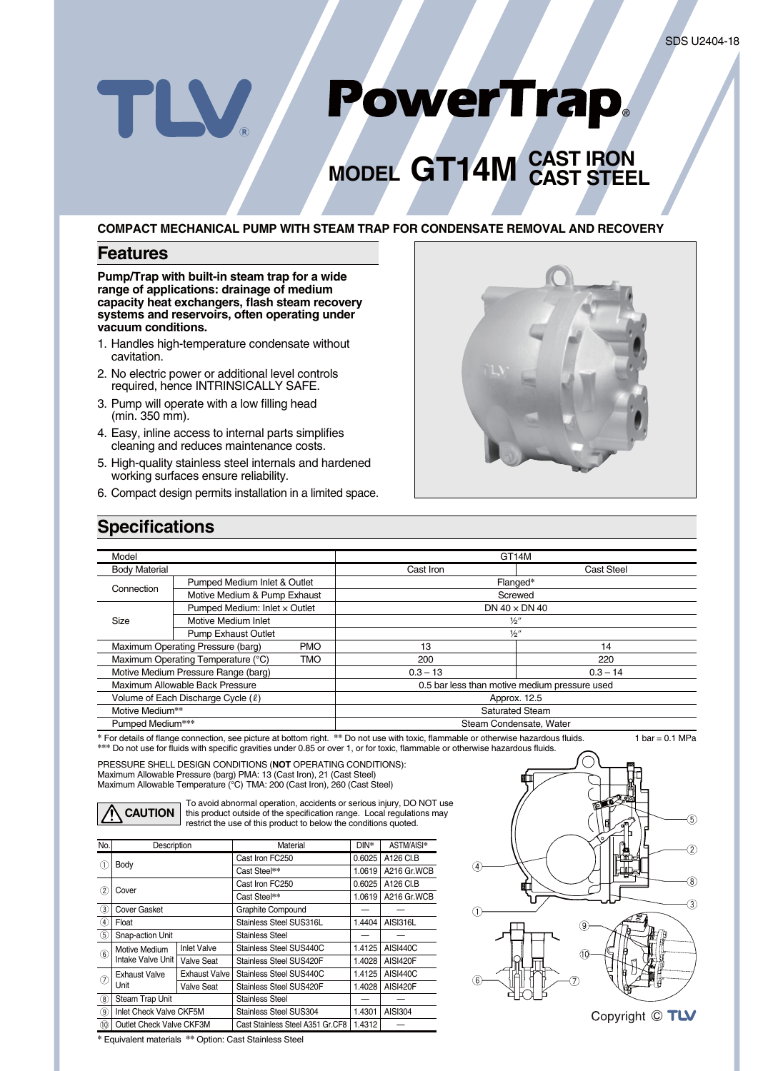# PowerTrap. TLV

# **MODEL GT14M CAST IRON CAST STEEL**

#### **COMPACT MECHANICAL PUMP WITH STEAM TRAP FOR CONDENSATE REMOVAL AND RECOVERY**

#### **Features**

**Pump/Trap with built-in steam trap for a wide range of applications: drainage of medium** capacity heat exchangers, flash steam recovery **systems and reservoirs, often operating under vacuum conditions.**

- 1. Handles high-temperature condensate without cavitation.
- 2. No electric power or additional level controls required, hence INTRINSICALLY SAFE.
- 3. Pump will operate with a low filling head (min. 350 mm).
- 4. Easy, inline access to internal parts simplifies cleaning and reduces maintenance costs.
- 5. High-quality stainless steel internals and hardened working surfaces ensure reliability.
- 6. Compact design permits installation in a limited space.



### **Specifications**

| Model                                            |                                                 |              | GT <sub>14</sub> M                            |                   |  |
|--------------------------------------------------|-------------------------------------------------|--------------|-----------------------------------------------|-------------------|--|
| <b>Body Material</b>                             |                                                 |              | Cast Iron                                     | <b>Cast Steel</b> |  |
| Connection                                       | Pumped Medium Inlet & Outlet                    |              | Flanged*                                      |                   |  |
|                                                  | Motive Medium & Pump Exhaust                    |              | Screwed                                       |                   |  |
| Size                                             | Pumped Medium: Inlet x Outlet                   |              | DN $40 \times$ DN $40$                        |                   |  |
|                                                  | Motive Medium Inlet                             |              | $\frac{1}{2}$                                 |                   |  |
|                                                  | <b>Pump Exhaust Outlet</b>                      |              | $\frac{1}{2}$                                 |                   |  |
|                                                  | Maximum Operating Pressure (barg)<br><b>PMO</b> |              | 13                                            | 14                |  |
| Maximum Operating Temperature (°C)<br><b>TMO</b> |                                                 | 200          | 220                                           |                   |  |
| Motive Medium Pressure Range (barg)              |                                                 | $0.3 - 13$   | $0.3 - 14$                                    |                   |  |
| Maximum Allowable Back Pressure                  |                                                 |              | 0.5 bar less than motive medium pressure used |                   |  |
| Volume of Each Discharge Cycle (0)               |                                                 | Approx. 12.5 |                                               |                   |  |
| Motive Medium**                                  |                                                 |              | Saturated Steam                               |                   |  |
| Pumped Medium***                                 |                                                 |              | Steam Condensate, Water                       |                   |  |

\* For details of flange connection, see picture at bottom right. \*\* Do not use with toxic, flammable or otherwise hazardous fluids. 1 bar = 0.1 MPa \*\*\* Do not use for fluids with specific gravities under 0.85 or over 1, or for toxic, flammable or otherwise hazardous fluids.

PRESSURE SHELL DESIGN CONDITIONS (**NOT** OPERATING CONDITIONS): Maximum Allowable Pressure (barg) PMA: 13 (Cast Iron), 21 (Cast Steel) Maximum Allowable Temperature (°C) TMA: 200 (Cast Iron), 260 (Cast Steel)



To avoid abnormal operation, accidents or serious injury, DO NOT use this product outside of the specification range. Local regulations may restrict the use of this product to below the conditions quoted.

| No.                          | Description                                                     |                      | <b>Material</b>                  | $DIN^*$ | ASTM/AISI*      |  |  |  |
|------------------------------|-----------------------------------------------------------------|----------------------|----------------------------------|---------|-----------------|--|--|--|
| $\left(1\right)$             | Body                                                            |                      | Cast Iron FC250                  | 0.6025  | A126 CI.B       |  |  |  |
|                              |                                                                 |                      | Cast Steel**                     | 1.0619  | A216 Gr.WCB     |  |  |  |
| $\circled{2}$                | Cover                                                           |                      | Cast Iron FC250                  | 0.6025  | A126 CI.B       |  |  |  |
|                              |                                                                 |                      | Cast Steel**                     | 1.0619  | A216 Gr.WCB     |  |  |  |
| (3)                          | <b>Cover Gasket</b>                                             |                      | Graphite Compound                |         |                 |  |  |  |
| $\circled{4}$                | Float                                                           |                      | Stainless Steel SUS316L          | 1.4404  | <b>AISI316L</b> |  |  |  |
| (5)                          | Snap-action Unit                                                |                      | Stainless Steel                  |         |                 |  |  |  |
| $\circled{6}$                | Motive Medium<br>Intake Valve Unit                              | <b>Inlet Valve</b>   | Stainless Steel SUS440C          | 1.4125  | <b>AISI440C</b> |  |  |  |
|                              |                                                                 | Valve Seat           | Stainless Steel SUS420F          | 1.4028  | AISI420F        |  |  |  |
| $\left( \overline{7}\right)$ | <b>Exhaust Valve</b><br>Unit                                    | <b>Exhaust Valve</b> | Stainless Steel SUS440C          | 1.4125  | <b>AISI440C</b> |  |  |  |
|                              |                                                                 | <b>Valve Seat</b>    | Stainless Steel SUS420F          | 1.4028  | AISI420F        |  |  |  |
| (8)                          | Steam Trap Unit                                                 |                      | Stainless Steel                  |         |                 |  |  |  |
| $\circled{9}$                | Inlet Check Valve CKF5M                                         |                      | Stainless Steel SUS304           | 1.4301  | <b>AISI304</b>  |  |  |  |
| (10)                         | Outlet Check Valve CKF3M                                        |                      | Cast Stainless Steel A351 Gr.CF8 | 1.4312  |                 |  |  |  |
|                              | $\sim$ $\sim$<br>.<br>$\sim$ $\sim$ $\sim$ $\sim$ $\sim$ $\sim$ |                      |                                  |         |                 |  |  |  |



**\*** Equivalent materials **\*\*** Option: Cast Stainless Steel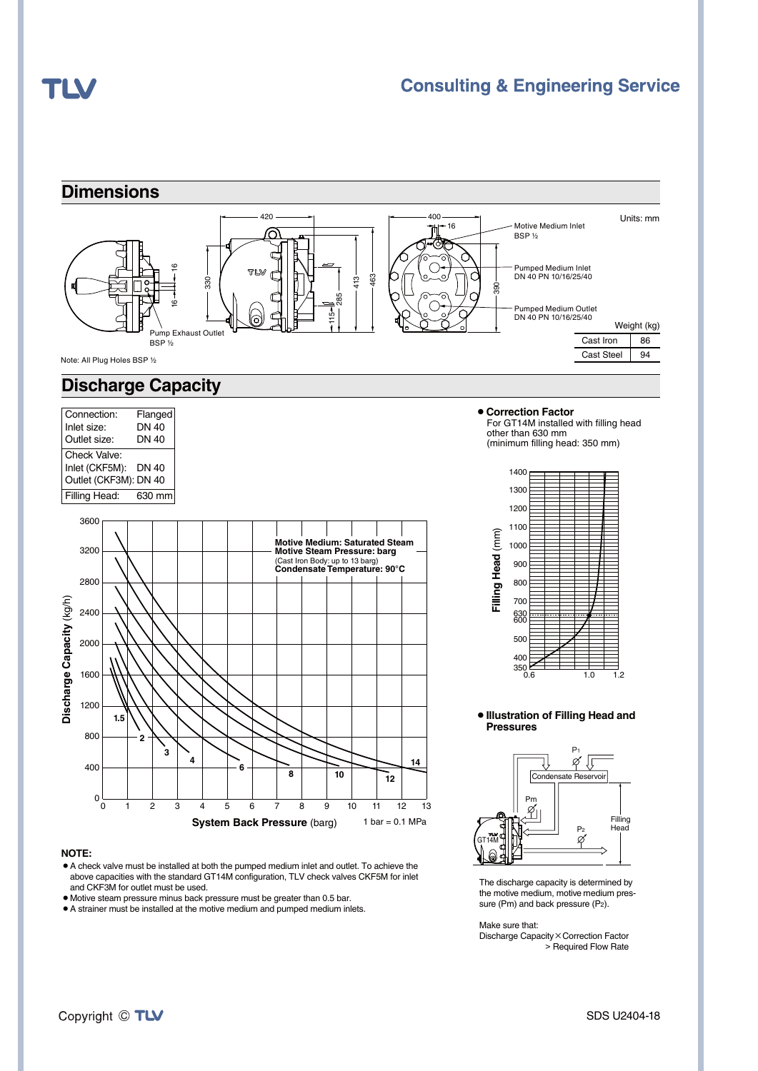## TLV

### **Consulting & Engineering Service**





#### **NOTE:**

- ¡A check valve must be installed at both the pumped medium inlet and outlet. To achieve the above capacities with the standard GT14M configuration, TLV check valves CKF5M for inlet and CKF3M for outlet must be used.
- ¡Motive steam pressure minus back pressure must be greater than 0.5 bar.
- $\bullet$  A strainer must be installed at the motive medium and pumped medium inlets.



## ¡**Illustration of Filling Head and**



The discharge capacity is determined by the motive medium, motive medium pressure (Pm) and back pressure (P2).

Make sure that:

Discharge Capacity×Correction Factor > Required Flow Rate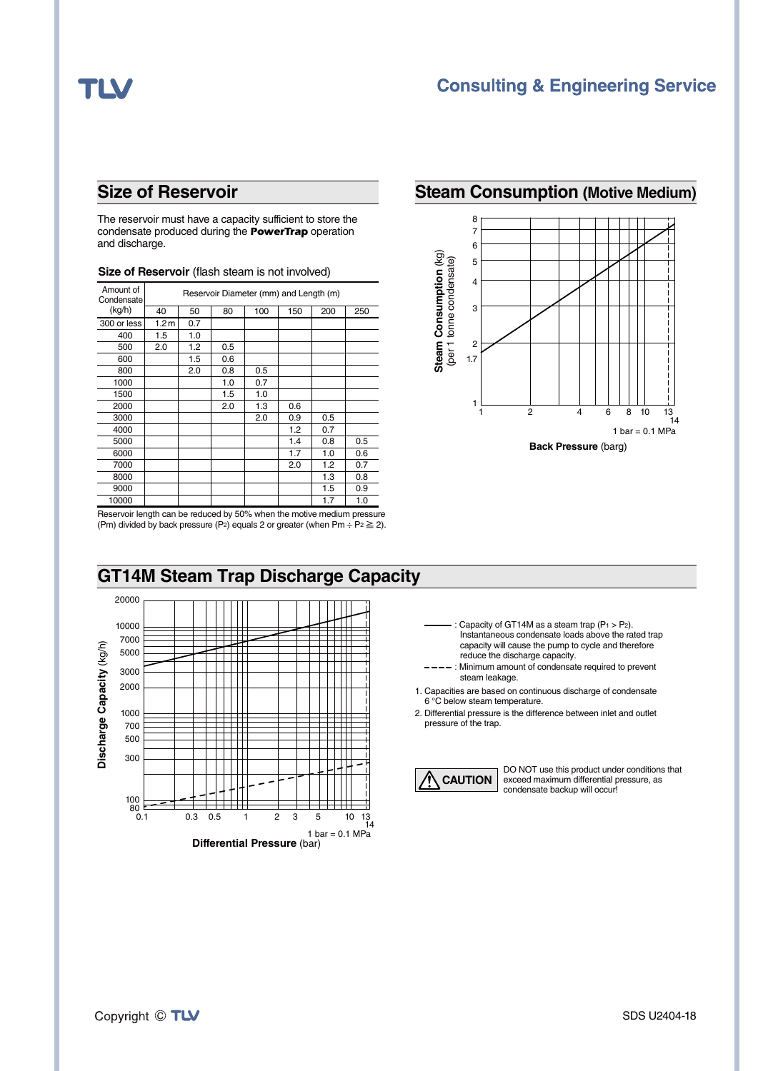## **TL\**

## **Size of Reservoir**

The reservoir must have a capacity sufficient to store the condensate produced during the *PowerTrap* operation and discharge.

| Amount of<br>Condensate | Reservoir Diameter (mm) and Length (m) |     |     |     |     |     |     |  |
|-------------------------|----------------------------------------|-----|-----|-----|-----|-----|-----|--|
| (kg/h)                  | 40                                     | 50  | 80  | 100 | 150 | 200 | 250 |  |
| 300 or less             | 1.2 <sub>m</sub>                       | 0.7 |     |     |     |     |     |  |
| 400                     | 1.5                                    | 1.0 |     |     |     |     |     |  |
| 500                     | 2.0                                    | 1.2 | 0.5 |     |     |     |     |  |
| 600                     |                                        | 1.5 | 0.6 |     |     |     |     |  |
| 800                     |                                        | 2.0 | 0.8 | 0.5 |     |     |     |  |
| 1000                    |                                        |     | 1.0 | 0.7 |     |     |     |  |
| 1500                    |                                        |     | 1.5 | 1.0 |     |     |     |  |
| 2000                    |                                        |     | 2.0 | 1.3 | 0.6 |     |     |  |
| 3000                    |                                        |     |     | 2.0 | 0.9 | 0.5 |     |  |
| 4000                    |                                        |     |     |     | 1.2 | 0.7 |     |  |
| 5000                    |                                        |     |     |     | 1.4 | 0.8 | 0.5 |  |
| 6000                    |                                        |     |     |     | 1.7 | 1.0 | 0.6 |  |
| 7000                    |                                        |     |     |     | 2.0 | 1.2 | 0.7 |  |
| 8000                    |                                        |     |     |     |     | 1.3 | 0.8 |  |
| 9000                    |                                        |     |     |     |     | 1.5 | 0.9 |  |
| 10000                   |                                        |     |     |     |     | 1.7 | 1.0 |  |

#### **Size of Reservoir** (flash steam is not involved)

## **Steam Consumption (Motive Medium)**



Reservoir length can be reduced by 50% when the motive medium pressure (Pm) divided by back pressure (P<sub>2</sub>) equals 2 or greater (when Pm ÷ P<sub>2</sub>  $\geq$  2).



- : Capacity of GT14M as a steam trap  $(P_1 > P_2)$ . Instantaneous condensate loads above the rated trap capacity will cause the pump to cycle and therefore reduce the discharge capacity.
- ---- : Minimum amount of condensate required to prevent steam leakage.
- 1. Capacities are based on continuous discharge of condensate 6 °C below steam temperature.
- 2. Differential pressure is the difference between inlet and outlet pressure of the trap.



DO NOT use this product under conditions that exceed maximum differential pressure, as condensate backup will occur!